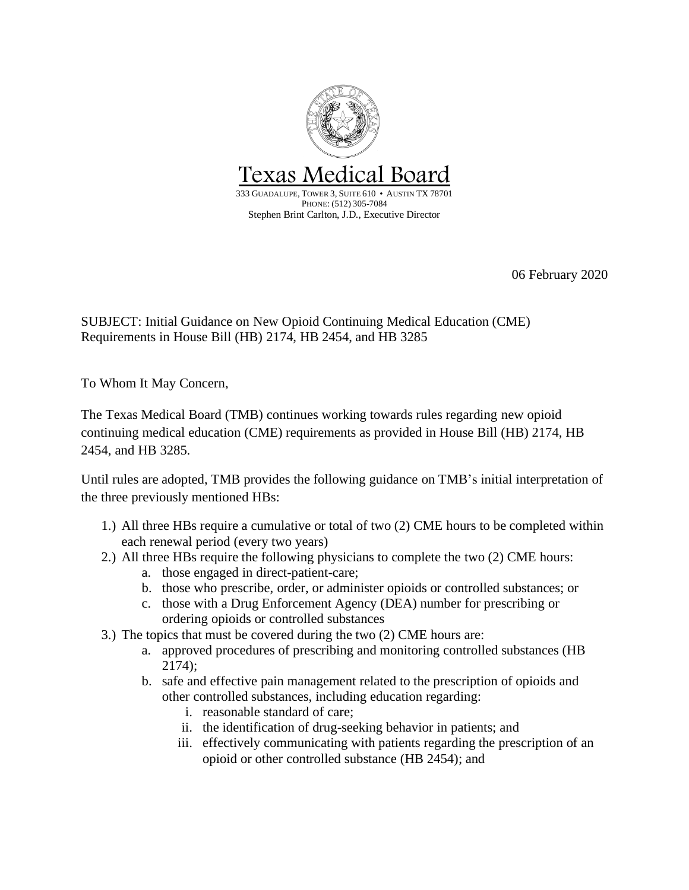

06 February 2020

SUBJECT: Initial Guidance on New Opioid Continuing Medical Education (CME) Requirements in House Bill (HB) 2174, HB 2454, and HB 3285

To Whom It May Concern,

The Texas Medical Board (TMB) continues working towards rules regarding new opioid continuing medical education (CME) requirements as provided in House Bill (HB) 2174, HB 2454, and HB 3285.

Until rules are adopted, TMB provides the following guidance on TMB's initial interpretation of the three previously mentioned HBs:

- 1.) All three HBs require a cumulative or total of two (2) CME hours to be completed within each renewal period (every two years)
- 2.) All three HBs require the following physicians to complete the two (2) CME hours:
	- a. those engaged in direct-patient-care;
	- b. those who prescribe, order, or administer opioids or controlled substances; or
	- c. those with a Drug Enforcement Agency (DEA) number for prescribing or ordering opioids or controlled substances
- 3.) The topics that must be covered during the two (2) CME hours are:
	- a. approved procedures of prescribing and monitoring controlled substances (HB 2174);
	- b. safe and effective pain management related to the prescription of opioids and other controlled substances, including education regarding:
		- i. reasonable standard of care;
		- ii. the identification of drug-seeking behavior in patients; and
		- iii. effectively communicating with patients regarding the prescription of an opioid or other controlled substance (HB 2454); and